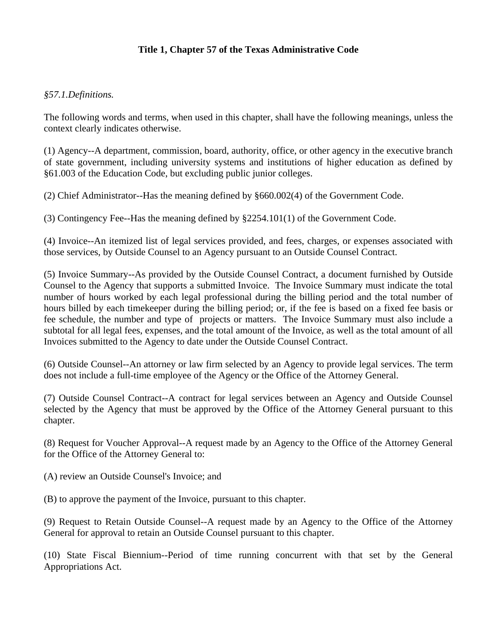# **Title 1, Chapter 57 of the Texas Administrative Code**

#### *§57.1.Definitions.*

The following words and terms, when used in this chapter, shall have the following meanings, unless the context clearly indicates otherwise.

(1) Agency--A department, commission, board, authority, office, or other agency in the executive branch of state government, including university systems and institutions of higher education as defined by §61.003 of the Education Code, but excluding public junior colleges.

(2) Chief Administrator--Has the meaning defined by §660.002(4) of the Government Code.

(3) Contingency Fee--Has the meaning defined by §2254.101(1) of the Government Code.

(4) Invoice--An itemized list of legal services provided, and fees, charges, or expenses associated with those services, by Outside Counsel to an Agency pursuant to an Outside Counsel Contract.

(5) Invoice Summary--As provided by the Outside Counsel Contract, a document furnished by Outside Counsel to the Agency that supports a submitted Invoice. The Invoice Summary must indicate the total number of hours worked by each legal professional during the billing period and the total number of hours billed by each timekeeper during the billing period; or, if the fee is based on a fixed fee basis or fee schedule, the number and type of projects or matters. The Invoice Summary must also include a subtotal for all legal fees, expenses, and the total amount of the Invoice, as well as the total amount of all Invoices submitted to the Agency to date under the Outside Counsel Contract.

(6) Outside Counsel--An attorney or law firm selected by an Agency to provide legal services. The term does not include a full-time employee of the Agency or the Office of the Attorney General.

(7) Outside Counsel Contract--A contract for legal services between an Agency and Outside Counsel selected by the Agency that must be approved by the Office of the Attorney General pursuant to this chapter.

(8) Request for Voucher Approval--A request made by an Agency to the Office of the Attorney General for the Office of the Attorney General to:

(A) review an Outside Counsel's Invoice; and

(B) to approve the payment of the Invoice, pursuant to this chapter.

(9) Request to Retain Outside Counsel--A request made by an Agency to the Office of the Attorney General for approval to retain an Outside Counsel pursuant to this chapter.

(10) State Fiscal Biennium--Period of time running concurrent with that set by the General Appropriations Act.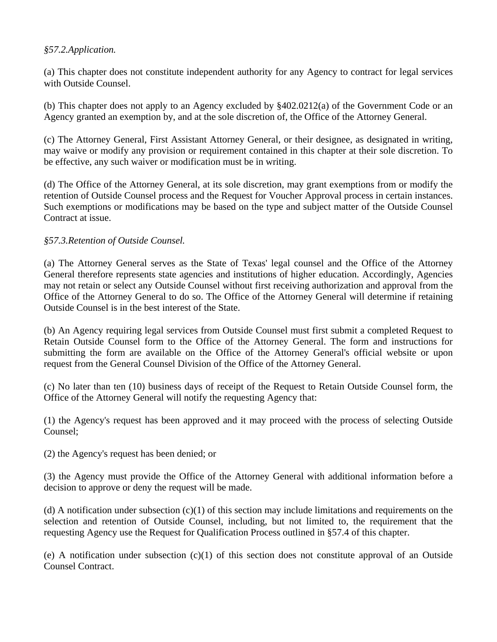## *§57.2.Application.*

(a) This chapter does not constitute independent authority for any Agency to contract for legal services with Outside Counsel.

(b) This chapter does not apply to an Agency excluded by §402.0212(a) of the Government Code or an Agency granted an exemption by, and at the sole discretion of, the Office of the Attorney General.

(c) The Attorney General, First Assistant Attorney General, or their designee, as designated in writing, may waive or modify any provision or requirement contained in this chapter at their sole discretion. To be effective, any such waiver or modification must be in writing.

(d) The Office of the Attorney General, at its sole discretion, may grant exemptions from or modify the retention of Outside Counsel process and the Request for Voucher Approval process in certain instances. Such exemptions or modifications may be based on the type and subject matter of the Outside Counsel Contract at issue.

#### *§57.3.Retention of Outside Counsel.*

(a) The Attorney General serves as the State of Texas' legal counsel and the Office of the Attorney General therefore represents state agencies and institutions of higher education. Accordingly, Agencies may not retain or select any Outside Counsel without first receiving authorization and approval from the Office of the Attorney General to do so. The Office of the Attorney General will determine if retaining Outside Counsel is in the best interest of the State.

(b) An Agency requiring legal services from Outside Counsel must first submit a completed Request to Retain Outside Counsel form to the Office of the Attorney General. The form and instructions for submitting the form are available on the Office of the Attorney General's official website or upon request from the General Counsel Division of the Office of the Attorney General.

(c) No later than ten (10) business days of receipt of the Request to Retain Outside Counsel form, the Office of the Attorney General will notify the requesting Agency that:

(1) the Agency's request has been approved and it may proceed with the process of selecting Outside Counsel;

(2) the Agency's request has been denied; or

(3) the Agency must provide the Office of the Attorney General with additional information before a decision to approve or deny the request will be made.

(d) A notification under subsection  $(c)(1)$  of this section may include limitations and requirements on the selection and retention of Outside Counsel, including, but not limited to, the requirement that the requesting Agency use the Request for Qualification Process outlined in §57.4 of this chapter.

(e) A notification under subsection  $(c)(1)$  of this section does not constitute approval of an Outside Counsel Contract.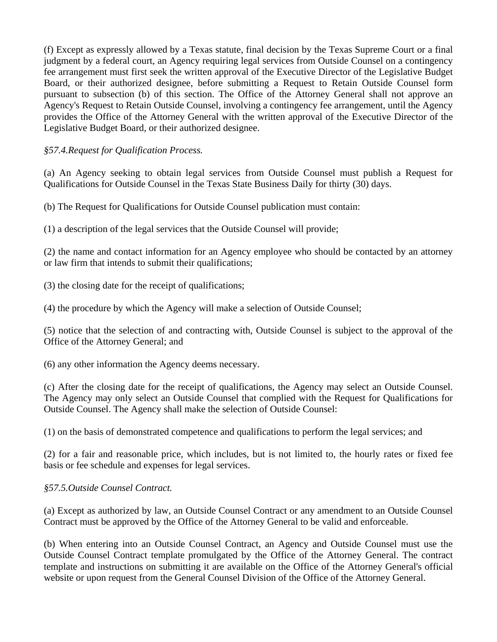(f) Except as expressly allowed by a Texas statute, final decision by the Texas Supreme Court or a final judgment by a federal court, an Agency requiring legal services from Outside Counsel on a contingency fee arrangement must first seek the written approval of the Executive Director of the Legislative Budget Board, or their authorized designee, before submitting a Request to Retain Outside Counsel form pursuant to subsection (b) of this section. The Office of the Attorney General shall not approve an Agency's Request to Retain Outside Counsel, involving a contingency fee arrangement, until the Agency provides the Office of the Attorney General with the written approval of the Executive Director of the Legislative Budget Board, or their authorized designee.

# *§57.4.Request for Qualification Process.*

(a) An Agency seeking to obtain legal services from Outside Counsel must publish a Request for Qualifications for Outside Counsel in the Texas State Business Daily for thirty (30) days.

(b) The Request for Qualifications for Outside Counsel publication must contain:

(1) a description of the legal services that the Outside Counsel will provide;

(2) the name and contact information for an Agency employee who should be contacted by an attorney or law firm that intends to submit their qualifications;

(3) the closing date for the receipt of qualifications;

(4) the procedure by which the Agency will make a selection of Outside Counsel;

(5) notice that the selection of and contracting with, Outside Counsel is subject to the approval of the Office of the Attorney General; and

(6) any other information the Agency deems necessary.

(c) After the closing date for the receipt of qualifications, the Agency may select an Outside Counsel. The Agency may only select an Outside Counsel that complied with the Request for Qualifications for Outside Counsel. The Agency shall make the selection of Outside Counsel:

(1) on the basis of demonstrated competence and qualifications to perform the legal services; and

(2) for a fair and reasonable price, which includes, but is not limited to, the hourly rates or fixed fee basis or fee schedule and expenses for legal services.

# *§57.5.Outside Counsel Contract.*

(a) Except as authorized by law, an Outside Counsel Contract or any amendment to an Outside Counsel Contract must be approved by the Office of the Attorney General to be valid and enforceable.

(b) When entering into an Outside Counsel Contract, an Agency and Outside Counsel must use the Outside Counsel Contract template promulgated by the Office of the Attorney General. The contract template and instructions on submitting it are available on the Office of the Attorney General's official website or upon request from the General Counsel Division of the Office of the Attorney General.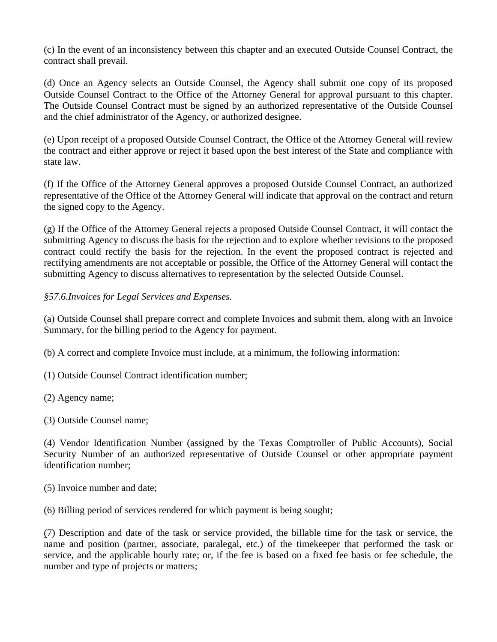(c) In the event of an inconsistency between this chapter and an executed Outside Counsel Contract, the contract shall prevail.

(d) Once an Agency selects an Outside Counsel, the Agency shall submit one copy of its proposed Outside Counsel Contract to the Office of the Attorney General for approval pursuant to this chapter. The Outside Counsel Contract must be signed by an authorized representative of the Outside Counsel and the chief administrator of the Agency, or authorized designee.

(e) Upon receipt of a proposed Outside Counsel Contract, the Office of the Attorney General will review the contract and either approve or reject it based upon the best interest of the State and compliance with state law.

(f) If the Office of the Attorney General approves a proposed Outside Counsel Contract, an authorized representative of the Office of the Attorney General will indicate that approval on the contract and return the signed copy to the Agency.

(g) If the Office of the Attorney General rejects a proposed Outside Counsel Contract, it will contact the submitting Agency to discuss the basis for the rejection and to explore whether revisions to the proposed contract could rectify the basis for the rejection. In the event the proposed contract is rejected and rectifying amendments are not acceptable or possible, the Office of the Attorney General will contact the submitting Agency to discuss alternatives to representation by the selected Outside Counsel.

# *§57.6.Invoices for Legal Services and Expenses.*

(a) Outside Counsel shall prepare correct and complete Invoices and submit them, along with an Invoice Summary, for the billing period to the Agency for payment.

(b) A correct and complete Invoice must include, at a minimum, the following information:

- (1) Outside Counsel Contract identification number;
- (2) Agency name;
- (3) Outside Counsel name;

(4) Vendor Identification Number (assigned by the Texas Comptroller of Public Accounts), Social Security Number of an authorized representative of Outside Counsel or other appropriate payment identification number;

- (5) Invoice number and date;
- (6) Billing period of services rendered for which payment is being sought;

(7) Description and date of the task or service provided, the billable time for the task or service, the name and position (partner, associate, paralegal, etc.) of the timekeeper that performed the task or service, and the applicable hourly rate; or, if the fee is based on a fixed fee basis or fee schedule, the number and type of projects or matters;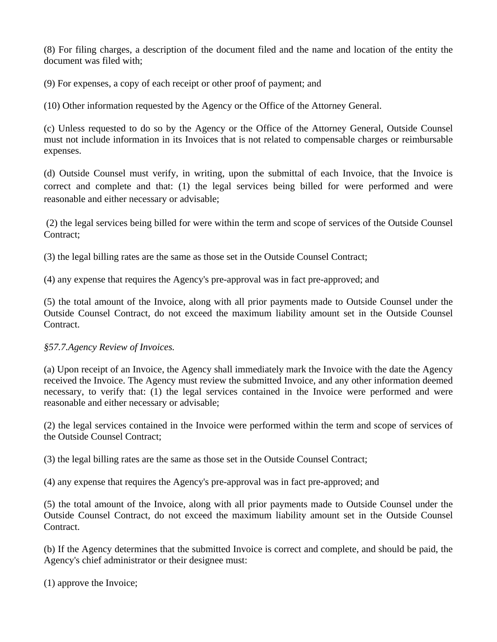(8) For filing charges, a description of the document filed and the name and location of the entity the document was filed with;

(9) For expenses, a copy of each receipt or other proof of payment; and

(10) Other information requested by the Agency or the Office of the Attorney General.

(c) Unless requested to do so by the Agency or the Office of the Attorney General, Outside Counsel must not include information in its Invoices that is not related to compensable charges or reimbursable expenses.

(d) Outside Counsel must verify, in writing, upon the submittal of each Invoice, that the Invoice is correct and complete and that: (1) the legal services being billed for were performed and were reasonable and either necessary or advisable;

 (2) the legal services being billed for were within the term and scope of services of the Outside Counsel Contract;

(3) the legal billing rates are the same as those set in the Outside Counsel Contract;

(4) any expense that requires the Agency's pre-approval was in fact pre-approved; and

(5) the total amount of the Invoice, along with all prior payments made to Outside Counsel under the Outside Counsel Contract, do not exceed the maximum liability amount set in the Outside Counsel Contract.

# *§57.7.Agency Review of Invoices.*

(a) Upon receipt of an Invoice, the Agency shall immediately mark the Invoice with the date the Agency received the Invoice. The Agency must review the submitted Invoice, and any other information deemed necessary, to verify that: (1) the legal services contained in the Invoice were performed and were reasonable and either necessary or advisable;

(2) the legal services contained in the Invoice were performed within the term and scope of services of the Outside Counsel Contract;

(3) the legal billing rates are the same as those set in the Outside Counsel Contract;

(4) any expense that requires the Agency's pre-approval was in fact pre-approved; and

(5) the total amount of the Invoice, along with all prior payments made to Outside Counsel under the Outside Counsel Contract, do not exceed the maximum liability amount set in the Outside Counsel Contract.

(b) If the Agency determines that the submitted Invoice is correct and complete, and should be paid, the Agency's chief administrator or their designee must:

(1) approve the Invoice;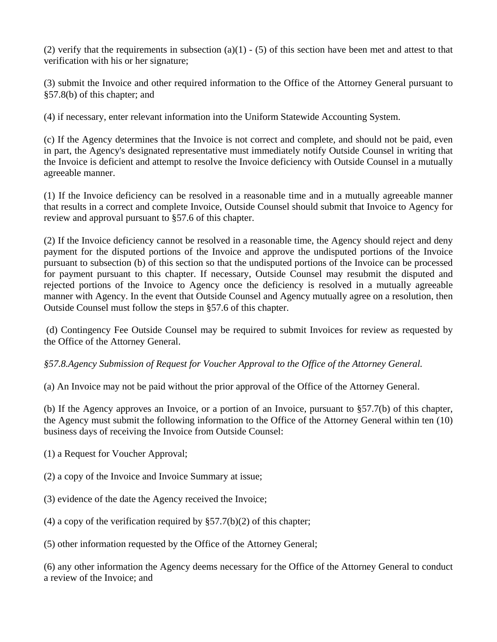(2) verify that the requirements in subsection (a)(1) - (5) of this section have been met and attest to that verification with his or her signature;

(3) submit the Invoice and other required information to the Office of the Attorney General pursuant to §57.8(b) of this chapter; and

(4) if necessary, enter relevant information into the Uniform Statewide Accounting System.

(c) If the Agency determines that the Invoice is not correct and complete, and should not be paid, even in part, the Agency's designated representative must immediately notify Outside Counsel in writing that the Invoice is deficient and attempt to resolve the Invoice deficiency with Outside Counsel in a mutually agreeable manner.

(1) If the Invoice deficiency can be resolved in a reasonable time and in a mutually agreeable manner that results in a correct and complete Invoice, Outside Counsel should submit that Invoice to Agency for review and approval pursuant to §57.6 of this chapter.

(2) If the Invoice deficiency cannot be resolved in a reasonable time, the Agency should reject and deny payment for the disputed portions of the Invoice and approve the undisputed portions of the Invoice pursuant to subsection (b) of this section so that the undisputed portions of the Invoice can be processed for payment pursuant to this chapter. If necessary, Outside Counsel may resubmit the disputed and rejected portions of the Invoice to Agency once the deficiency is resolved in a mutually agreeable manner with Agency. In the event that Outside Counsel and Agency mutually agree on a resolution, then Outside Counsel must follow the steps in §57.6 of this chapter.

 (d) Contingency Fee Outside Counsel may be required to submit Invoices for review as requested by the Office of the Attorney General.

# *§57.8.Agency Submission of Request for Voucher Approval to the Office of the Attorney General.*

(a) An Invoice may not be paid without the prior approval of the Office of the Attorney General.

(b) If the Agency approves an Invoice, or a portion of an Invoice, pursuant to §57.7(b) of this chapter, the Agency must submit the following information to the Office of the Attorney General within ten (10) business days of receiving the Invoice from Outside Counsel:

- (1) a Request for Voucher Approval;
- (2) a copy of the Invoice and Invoice Summary at issue;
- (3) evidence of the date the Agency received the Invoice;
- (4) a copy of the verification required by  $\S 57.7(b)(2)$  of this chapter;
- (5) other information requested by the Office of the Attorney General;

(6) any other information the Agency deems necessary for the Office of the Attorney General to conduct a review of the Invoice; and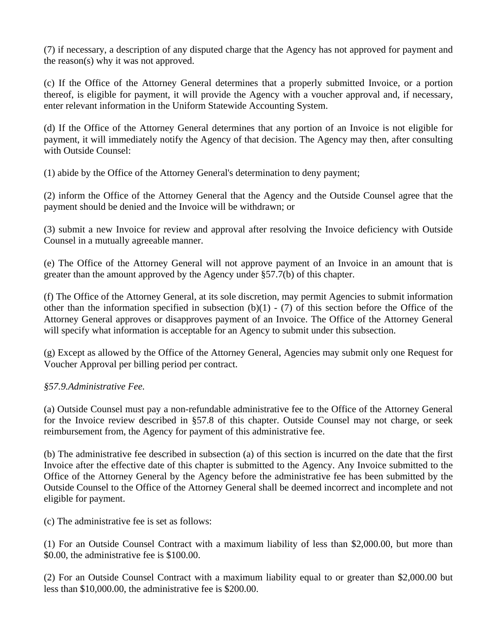(7) if necessary, a description of any disputed charge that the Agency has not approved for payment and the reason(s) why it was not approved.

(c) If the Office of the Attorney General determines that a properly submitted Invoice, or a portion thereof, is eligible for payment, it will provide the Agency with a voucher approval and, if necessary, enter relevant information in the Uniform Statewide Accounting System.

(d) If the Office of the Attorney General determines that any portion of an Invoice is not eligible for payment, it will immediately notify the Agency of that decision. The Agency may then, after consulting with Outside Counsel:

(1) abide by the Office of the Attorney General's determination to deny payment;

(2) inform the Office of the Attorney General that the Agency and the Outside Counsel agree that the payment should be denied and the Invoice will be withdrawn; or

(3) submit a new Invoice for review and approval after resolving the Invoice deficiency with Outside Counsel in a mutually agreeable manner.

(e) The Office of the Attorney General will not approve payment of an Invoice in an amount that is greater than the amount approved by the Agency under §57.7(b) of this chapter.

(f) The Office of the Attorney General, at its sole discretion, may permit Agencies to submit information other than the information specified in subsection  $(b)(1) - (7)$  of this section before the Office of the Attorney General approves or disapproves payment of an Invoice. The Office of the Attorney General will specify what information is acceptable for an Agency to submit under this subsection.

(g) Except as allowed by the Office of the Attorney General, Agencies may submit only one Request for Voucher Approval per billing period per contract.

# *§57.9.Administrative Fee.*

(a) Outside Counsel must pay a non-refundable administrative fee to the Office of the Attorney General for the Invoice review described in §57.8 of this chapter. Outside Counsel may not charge, or seek reimbursement from, the Agency for payment of this administrative fee.

(b) The administrative fee described in subsection (a) of this section is incurred on the date that the first Invoice after the effective date of this chapter is submitted to the Agency. Any Invoice submitted to the Office of the Attorney General by the Agency before the administrative fee has been submitted by the Outside Counsel to the Office of the Attorney General shall be deemed incorrect and incomplete and not eligible for payment.

(c) The administrative fee is set as follows:

(1) For an Outside Counsel Contract with a maximum liability of less than \$2,000.00, but more than \$0.00, the administrative fee is \$100.00.

(2) For an Outside Counsel Contract with a maximum liability equal to or greater than \$2,000.00 but less than \$10,000.00, the administrative fee is \$200.00.